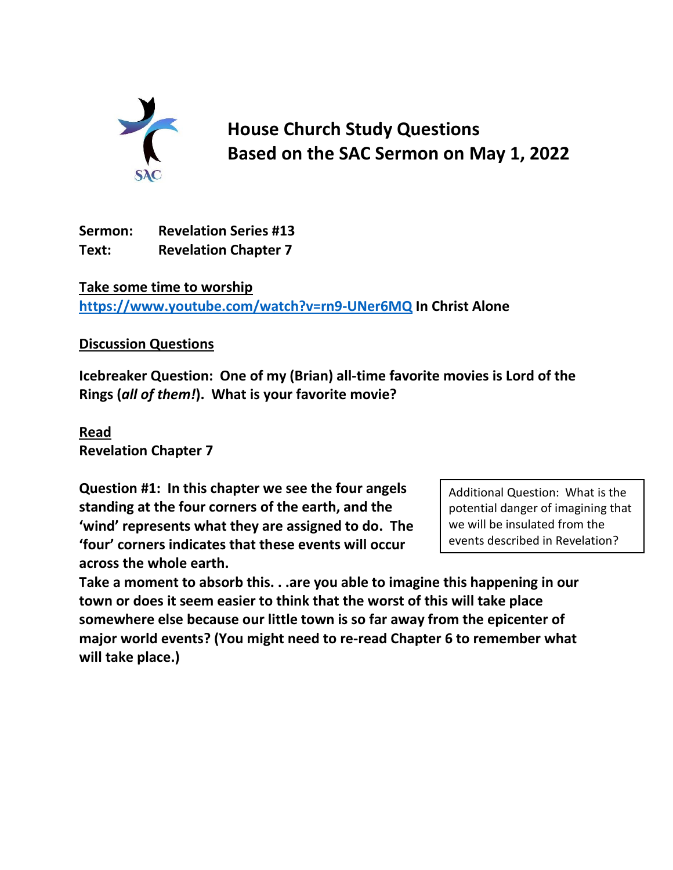

**House Church Study Questions Based on the SAC Sermon on May 1, 2022**

**Sermon: Revelation Series #13 Text: Revelation Chapter 7**

**Take some time to worship <https://www.youtube.com/watch?v=rn9-UNer6MQ> In Christ Alone**

## **Discussion Questions**

**Icebreaker Question: One of my (Brian) all-time favorite movies is Lord of the Rings (***all of them!***). What is your favorite movie?**

**Read Revelation Chapter 7**

**Question #1: In this chapter we see the four angels standing at the four corners of the earth, and the 'wind' represents what they are assigned to do. The 'four' corners indicates that these events will occur across the whole earth.** 

Additional Question: What is the potential danger of imagining that we will be insulated from the events described in Revelation?

**Take a moment to absorb this. . .are you able to imagine this happening in our town or does it seem easier to think that the worst of this will take place somewhere else because our little town is so far away from the epicenter of major world events? (You might need to re-read Chapter 6 to remember what will take place.)**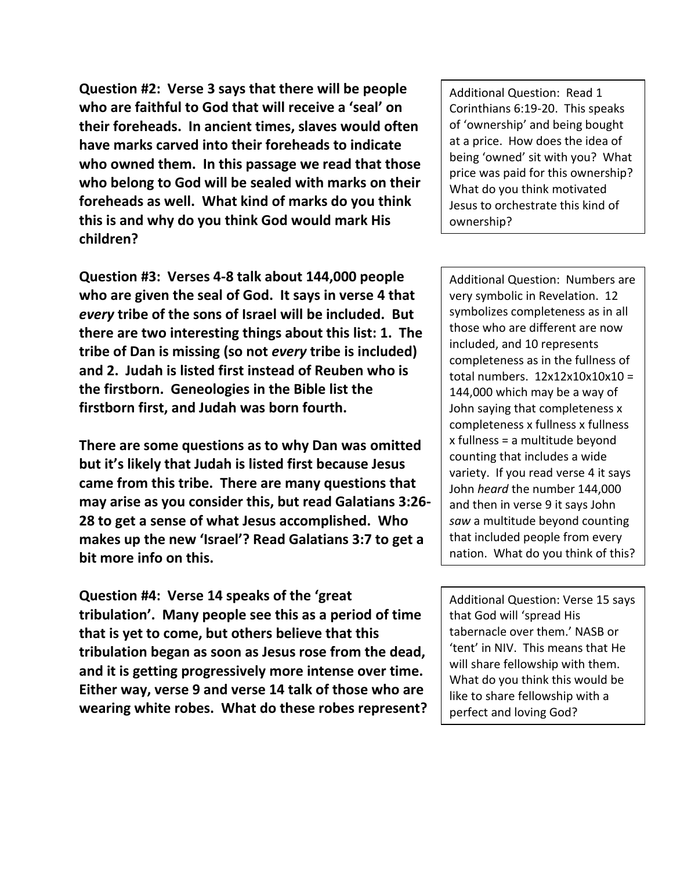**Question #2: Verse 3 says that there will be people who are faithful to God that will receive a 'seal' on their foreheads. In ancient times, slaves would often have marks carved into their foreheads to indicate who owned them. In this passage we read that those who belong to God will be sealed with marks on their foreheads as well. What kind of marks do you think this is and why do you think God would mark His children?**

**Question #3: Verses 4-8 talk about 144,000 people who are given the seal of God. It says in verse 4 that**  *every* **tribe of the sons of Israel will be included. But there are two interesting things about this list: 1. The tribe of Dan is missing (so not** *every* **tribe is included) and 2. Judah is listed first instead of Reuben who is the firstborn. Geneologies in the Bible list the firstborn first, and Judah was born fourth.**

**There are some questions as to why Dan was omitted but it's likely that Judah is listed first because Jesus came from this tribe. There are many questions that may arise as you consider this, but read Galatians 3:26- 28 to get a sense of what Jesus accomplished. Who makes up the new 'Israel'? Read Galatians 3:7 to get a bit more info on this.**

**Question #4: Verse 14 speaks of the 'great tribulation'. Many people see this as a period of time that is yet to come, but others believe that this tribulation began as soon as Jesus rose from the dead, and it is getting progressively more intense over time. Either way, verse 9 and verse 14 talk of those who are wearing white robes. What do these robes represent?** Additional Question: Read 1 Corinthians 6:19-20. This speaks of 'ownership' and being bought at a price. How does the idea of being 'owned' sit with you? What price was paid for this ownership? What do you think motivated Jesus to orchestrate this kind of ownership?

Additional Question: Numbers are very symbolic in Revelation. 12 symbolizes completeness as in all those who are different are now included, and 10 represents completeness as in the fullness of total numbers.  $12x12x10x10x10 =$ 144,000 which may be a way of John saying that completeness x completeness x fullness x fullness x fullness = a multitude beyond counting that includes a wide variety. If you read verse 4 it says John *heard* the number 144,000 and then in verse 9 it says John *saw* a multitude beyond counting that included people from every nation. What do you think of this?

Additional Question: Verse 15 says that God will 'spread His tabernacle over them.' NASB or 'tent' in NIV. This means that He will share fellowship with them. What do you think this would be like to share fellowship with a perfect and loving God?